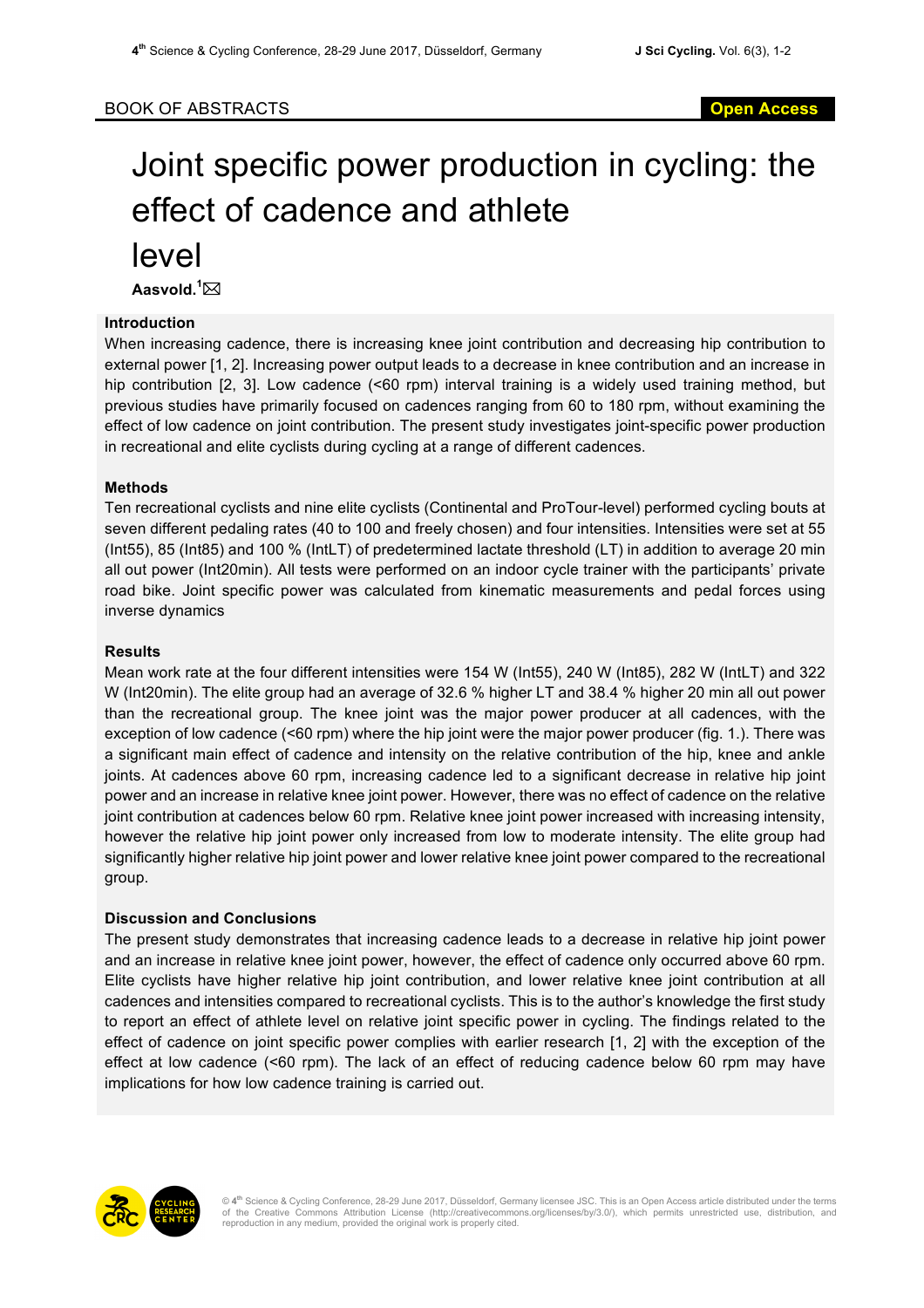# Joint specific power production in cycling: the effect of cadence and athlete

level

Aasvold.<sup>1</sup>⊠

# **Introduction**

When increasing cadence, there is increasing knee joint contribution and decreasing hip contribution to external power [1, 2]. Increasing power output leads to a decrease in knee contribution and an increase in hip contribution [2, 3]. Low cadence (<60 rpm) interval training is a widely used training method, but previous studies have primarily focused on cadences ranging from 60 to 180 rpm, without examining the effect of low cadence on joint contribution. The present study investigates joint-specific power production in recreational and elite cyclists during cycling at a range of different cadences.

# **Methods**

Ten recreational cyclists and nine elite cyclists (Continental and ProTour-level) performed cycling bouts at seven different pedaling rates (40 to 100 and freely chosen) and four intensities. Intensities were set at 55 (Int55), 85 (Int85) and 100 % (IntLT) of predetermined lactate threshold (LT) in addition to average 20 min all out power (Int20min). All tests were performed on an indoor cycle trainer with the participants' private road bike. Joint specific power was calculated from kinematic measurements and pedal forces using inverse dynamics

### **Results**

Mean work rate at the four different intensities were 154 W (Int55), 240 W (Int85), 282 W (IntLT) and 322 W (Int20min). The elite group had an average of 32.6 % higher LT and 38.4 % higher 20 min all out power than the recreational group. The knee joint was the major power producer at all cadences, with the exception of low cadence (<60 rpm) where the hip joint were the major power producer (fig. 1.). There was a significant main effect of cadence and intensity on the relative contribution of the hip, knee and ankle joints. At cadences above 60 rpm, increasing cadence led to a significant decrease in relative hip joint power and an increase in relative knee joint power. However, there was no effect of cadence on the relative joint contribution at cadences below 60 rpm. Relative knee joint power increased with increasing intensity, however the relative hip joint power only increased from low to moderate intensity. The elite group had significantly higher relative hip joint power and lower relative knee joint power compared to the recreational group.

#### **Discussion and Conclusions**

The present study demonstrates that increasing cadence leads to a decrease in relative hip joint power and an increase in relative knee joint power, however, the effect of cadence only occurred above 60 rpm. Elite cyclists have higher relative hip joint contribution, and lower relative knee joint contribution at all cadences and intensities compared to recreational cyclists. This is to the author's knowledge the first study to report an effect of athlete level on relative joint specific power in cycling. The findings related to the effect of cadence on joint specific power complies with earlier research [1, 2] with the exception of the effect at low cadence (<60 rpm). The lack of an effect of reducing cadence below 60 rpm may have implications for how low cadence training is carried out.